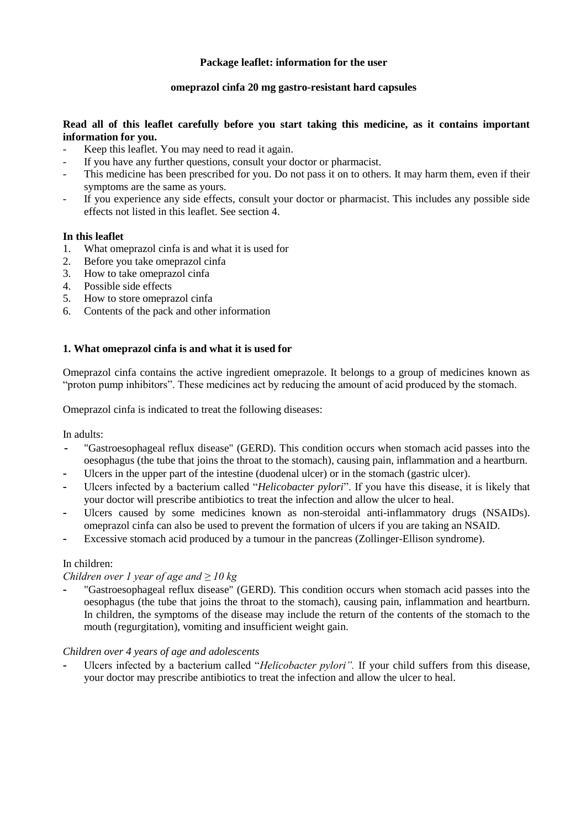### **Package leaflet: information for the user**

### **omeprazol cinfa 20 mg gastro-resistant hard capsules**

### **Read all of this leaflet carefully before you start taking this medicine, as it contains important information for you.**

- Keep this leaflet. You may need to read it again.
- If you have any further questions, consult your doctor or pharmacist.
- This medicine has been prescribed for you. Do not pass it on to others. It may harm them, even if their symptoms are the same as yours.
- If you experience any side effects, consult your doctor or pharmacist. This includes any possible side effects not listed in this leaflet. See section 4.

### **In this leaflet**

- 1. What omeprazol cinfa is and what it is used for
- 2. Before you take omeprazol cinfa
- 3. How to take omeprazol cinfa
- 4. Possible side effects
- 5. How to store omeprazol cinfa
- 6. Contents of the pack and other information

### **1. What omeprazol cinfa is and what it is used for**

Omeprazol cinfa contains the active ingredient omeprazole. It belongs to a group of medicines known as "proton pump inhibitors". These medicines act by reducing the amount of acid produced by the stomach.

Omeprazol cinfa is indicated to treat the following diseases:

In adults:

- **-** "Gastroesophageal reflux disease" (GERD). This condition occurs when stomach acid passes into the oesophagus (the tube that joins the throat to the stomach), causing pain, inflammation and a heartburn.
- **-** Ulcers in the upper part of the intestine (duodenal ulcer) or in the stomach (gastric ulcer).
- **-** Ulcers infected by a bacterium called "*Helicobacter pylori*". If you have this disease, it is likely that your doctor will prescribe antibiotics to treat the infection and allow the ulcer to heal.
- **-** Ulcers caused by some medicines known as non-steroidal anti-inflammatory drugs (NSAIDs). omeprazol cinfa can also be used to prevent the formation of ulcers if you are taking an NSAID.
- **-** Excessive stomach acid produced by a tumour in the pancreas (Zollinger-Ellison syndrome).

### In children:

### *Children over 1 year of age and ≥ 10 kg*

**-** "Gastroesophageal reflux disease" (GERD). This condition occurs when stomach acid passes into the oesophagus (the tube that joins the throat to the stomach), causing pain, inflammation and heartburn. In children, the symptoms of the disease may include the return of the contents of the stomach to the mouth (regurgitation), vomiting and insufficient weight gain.

### *Children over 4 years of age and adolescents*

**-** Ulcers infected by a bacterium called "*Helicobacter pylori".* If your child suffers from this disease, your doctor may prescribe antibiotics to treat the infection and allow the ulcer to heal.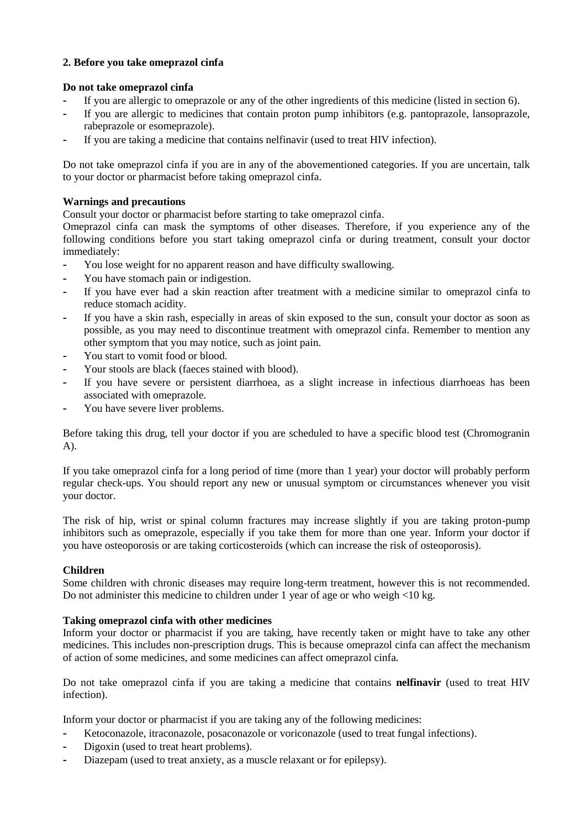## **2. Before you take omeprazol cinfa**

## **Do not take omeprazol cinfa**

- **-** If you are allergic to omeprazole or any of the other ingredients of this medicine (listed in section 6).
- **-** If you are allergic to medicines that contain proton pump inhibitors (e.g. pantoprazole, lansoprazole, rabeprazole or esomeprazole).
- **-** If you are taking a medicine that contains nelfinavir (used to treat HIV infection).

Do not take omeprazol cinfa if you are in any of the abovementioned categories. If you are uncertain, talk to your doctor or pharmacist before taking omeprazol cinfa.

# **Warnings and precautions**

Consult your doctor or pharmacist before starting to take omeprazol cinfa.

Omeprazol cinfa can mask the symptoms of other diseases. Therefore, if you experience any of the following conditions before you start taking omeprazol cinfa or during treatment, consult your doctor immediately:

- **-** You lose weight for no apparent reason and have difficulty swallowing.
- **-** You have stomach pain or indigestion.
- **-** If you have ever had a skin reaction after treatment with a medicine similar to omeprazol cinfa to reduce stomach acidity.
- **-** If you have a skin rash, especially in areas of skin exposed to the sun, consult your doctor as soon as possible, as you may need to discontinue treatment with omeprazol cinfa. Remember to mention any other symptom that you may notice, such as joint pain.
- **-** You start to vomit food or blood.
- Your stools are black (faeces stained with blood).
- If you have severe or persistent diarrhoea, as a slight increase in infectious diarrhoeas has been associated with omeprazole.
- **-** You have severe liver problems.

Before taking this drug, tell your doctor if you are scheduled to have a specific blood test (Chromogranin A).

If you take omeprazol cinfa for a long period of time (more than 1 year) your doctor will probably perform regular check-ups. You should report any new or unusual symptom or circumstances whenever you visit your doctor.

The risk of hip, wrist or spinal column fractures may increase slightly if you are taking proton-pump inhibitors such as omeprazole, especially if you take them for more than one year. Inform your doctor if you have osteoporosis or are taking corticosteroids (which can increase the risk of osteoporosis).

## **Children**

Some children with chronic diseases may require long-term treatment, however this is not recommended. Do not administer this medicine to children under 1 year of age or who weigh <10 kg.

## **Taking omeprazol cinfa with other medicines**

Inform your doctor or pharmacist if you are taking, have recently taken or might have to take any other medicines. This includes non-prescription drugs. This is because omeprazol cinfa can affect the mechanism of action of some medicines, and some medicines can affect omeprazol cinfa.

Do not take omeprazol cinfa if you are taking a medicine that contains **nelfinavir** (used to treat HIV infection).

Inform your doctor or pharmacist if you are taking any of the following medicines:

- **-** Ketoconazole, itraconazole, posaconazole or voriconazole (used to treat fungal infections).
- **-** Digoxin (used to treat heart problems).
- **-** Diazepam (used to treat anxiety, as a muscle relaxant or for epilepsy).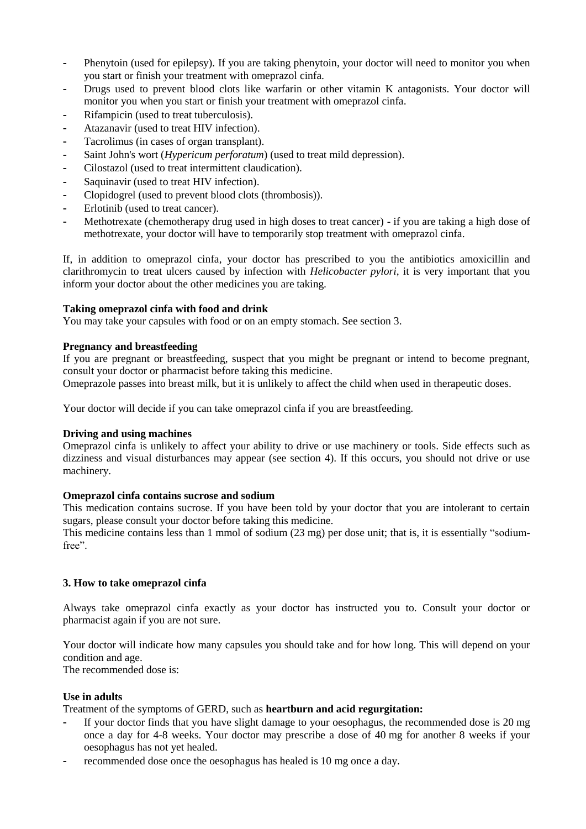- **-** Phenytoin (used for epilepsy). If you are taking phenytoin, your doctor will need to monitor you when you start or finish your treatment with omeprazol cinfa.
- **-** Drugs used to prevent blood clots like warfarin or other vitamin K antagonists. Your doctor will monitor you when you start or finish your treatment with omeprazol cinfa.
- **-** Rifampicin (used to treat tuberculosis).
- **-** Atazanavir (used to treat HIV infection).
- **-** Tacrolimus (in cases of organ transplant).
- **-** Saint John's wort (*Hypericum perforatum*) (used to treat mild depression).
- **-** Cilostazol (used to treat intermittent claudication).
- **-** Saquinavir (used to treat HIV infection).
- **-** Clopidogrel (used to prevent blood clots (thrombosis)).
- **-** Erlotinib (used to treat cancer).
- **-** Methotrexate (chemotherapy drug used in high doses to treat cancer) if you are taking a high dose of methotrexate, your doctor will have to temporarily stop treatment with omeprazol cinfa.

If, in addition to omeprazol cinfa, your doctor has prescribed to you the antibiotics amoxicillin and clarithromycin to treat ulcers caused by infection with *Helicobacter pylori*, it is very important that you inform your doctor about the other medicines you are taking.

### **Taking omeprazol cinfa with food and drink**

You may take your capsules with food or on an empty stomach. See section 3.

#### **Pregnancy and breastfeeding**

If you are pregnant or breastfeeding, suspect that you might be pregnant or intend to become pregnant, consult your doctor or pharmacist before taking this medicine. Omeprazole passes into breast milk, but it is unlikely to affect the child when used in therapeutic doses.

Your doctor will decide if you can take omeprazol cinfa if you are breastfeeding.

### **Driving and using machines**

Omeprazol cinfa is unlikely to affect your ability to drive or use machinery or tools. Side effects such as dizziness and visual disturbances may appear (see section 4). If this occurs, you should not drive or use machinery.

### **Omeprazol cinfa contains sucrose and sodium**

This medication contains sucrose. If you have been told by your doctor that you are intolerant to certain sugars, please consult your doctor before taking this medicine.

This medicine contains less than 1 mmol of sodium (23 mg) per dose unit; that is, it is essentially "sodiumfree".

### **3. How to take omeprazol cinfa**

Always take omeprazol cinfa exactly as your doctor has instructed you to. Consult your doctor or pharmacist again if you are not sure.

Your doctor will indicate how many capsules you should take and for how long. This will depend on your condition and age.

The recommended dose is:

### **Use in adults**

Treatment of the symptoms of GERD, such as **heartburn and acid regurgitation:**

- **-** If your doctor finds that you have slight damage to your oesophagus, the recommended dose is 20 mg once a day for 4-8 weeks. Your doctor may prescribe a dose of 40 mg for another 8 weeks if your oesophagus has not yet healed.
- **-** recommended dose once the oesophagus has healed is 10 mg once a day.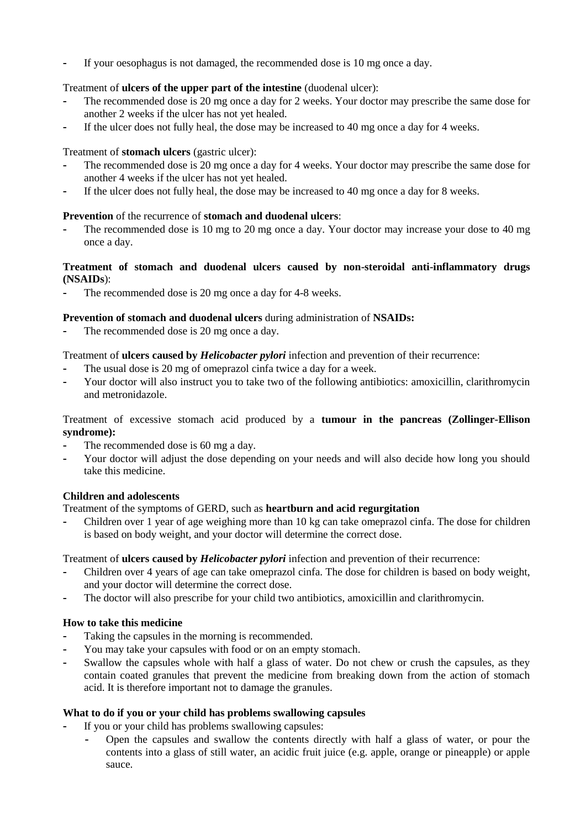**-** If your oesophagus is not damaged, the recommended dose is 10 mg once a day.

# Treatment of **ulcers of the upper part of the intestine** (duodenal ulcer):

- The recommended dose is 20 mg once a day for 2 weeks. Your doctor may prescribe the same dose for another 2 weeks if the ulcer has not yet healed.
- **-** If the ulcer does not fully heal, the dose may be increased to 40 mg once a day for 4 weeks.

# Treatment of **stomach ulcers** (gastric ulcer):

- The recommended dose is 20 mg once a day for 4 weeks. Your doctor may prescribe the same dose for another 4 weeks if the ulcer has not yet healed.
- **-** If the ulcer does not fully heal, the dose may be increased to 40 mg once a day for 8 weeks.

# **Prevention** of the recurrence of **stomach and duodenal ulcers**:

**-** The recommended dose is 10 mg to 20 mg once a day. Your doctor may increase your dose to 40 mg once a day.

## **Treatment of stomach and duodenal ulcers caused by non-steroidal anti-inflammatory drugs (NSAIDs**):

The recommended dose is 20 mg once a day for 4-8 weeks.

# **Prevention of stomach and duodenal ulcers** during administration of **NSAIDs:**

The recommended dose is 20 mg once a day.

Treatment of **ulcers caused by** *Helicobacter pylori* infection and prevention of their recurrence:

- The usual dose is 20 mg of omeprazol cinfa twice a day for a week.
- **-** Your doctor will also instruct you to take two of the following antibiotics: amoxicillin, clarithromycin and metronidazole.

Treatment of excessive stomach acid produced by a **tumour in the pancreas (Zollinger-Ellison syndrome):**

- The recommended dose is 60 mg a day.
- Your doctor will adjust the dose depending on your needs and will also decide how long you should take this medicine.

## **Children and adolescents**

Treatment of the symptoms of GERD, such as **heartburn and acid regurgitation**

**-** Children over 1 year of age weighing more than 10 kg can take omeprazol cinfa. The dose for children is based on body weight, and your doctor will determine the correct dose.

Treatment of **ulcers caused by** *Helicobacter pylori* infection and prevention of their recurrence:

- **-** Children over 4 years of age can take omeprazol cinfa. The dose for children is based on body weight, and your doctor will determine the correct dose.
- **-** The doctor will also prescribe for your child two antibiotics, amoxicillin and clarithromycin.

## **How to take this medicine**

- **-** Taking the capsules in the morning is recommended.
- **-** You may take your capsules with food or on an empty stomach.
- **-** Swallow the capsules whole with half a glass of water. Do not chew or crush the capsules, as they contain coated granules that prevent the medicine from breaking down from the action of stomach acid. It is therefore important not to damage the granules.

## **What to do if you or your child has problems swallowing capsules**

**-** If you or your child has problems swallowing capsules:

**-** Open the capsules and swallow the contents directly with half a glass of water, or pour the contents into a glass of still water, an acidic fruit juice (e.g. apple, orange or pineapple) or apple sauce.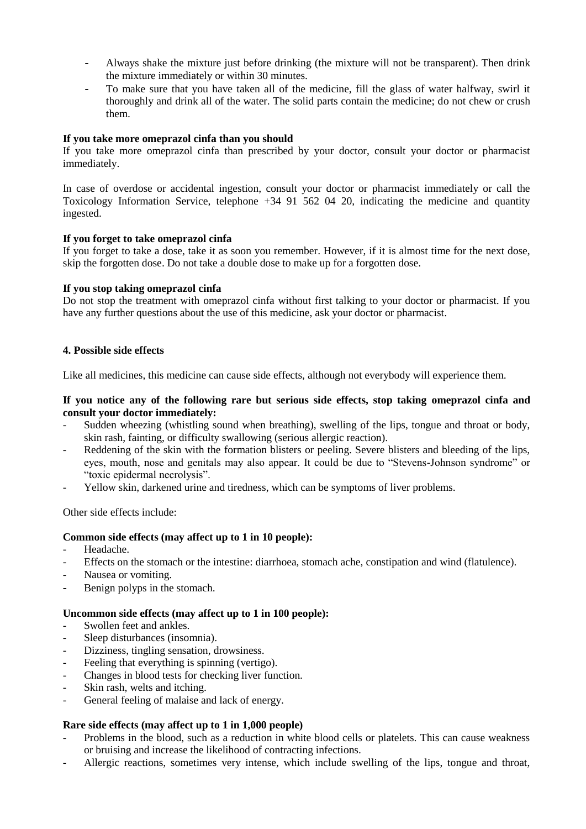- **-** Always shake the mixture just before drinking (the mixture will not be transparent). Then drink the mixture immediately or within 30 minutes.
- **-** To make sure that you have taken all of the medicine, fill the glass of water halfway, swirl it thoroughly and drink all of the water. The solid parts contain the medicine; do not chew or crush them.

### **If you take more omeprazol cinfa than you should**

If you take more omeprazol cinfa than prescribed by your doctor, consult your doctor or pharmacist immediately.

In case of overdose or accidental ingestion, consult your doctor or pharmacist immediately or call the Toxicology Information Service, telephone +34 91 562 04 20, indicating the medicine and quantity ingested.

### **If you forget to take omeprazol cinfa**

If you forget to take a dose, take it as soon you remember. However, if it is almost time for the next dose, skip the forgotten dose. Do not take a double dose to make up for a forgotten dose.

### **If you stop taking omeprazol cinfa**

Do not stop the treatment with omeprazol cinfa without first talking to your doctor or pharmacist. If you have any further questions about the use of this medicine, ask your doctor or pharmacist.

### **4. Possible side effects**

Like all medicines, this medicine can cause side effects, although not everybody will experience them.

### **If you notice any of the following rare but serious side effects, stop taking omeprazol cinfa and consult your doctor immediately:**

- Sudden wheezing (whistling sound when breathing), swelling of the lips, tongue and throat or body, skin rash, fainting, or difficulty swallowing (serious allergic reaction).
- Reddening of the skin with the formation blisters or peeling. Severe blisters and bleeding of the lips, eyes, mouth, nose and genitals may also appear. It could be due to "Stevens-Johnson syndrome" or "toxic epidermal necrolysis".
- Yellow skin, darkened urine and tiredness, which can be symptoms of liver problems.

Other side effects include:

## **Common side effects (may affect up to 1 in 10 people):**

- Headache.
- Effects on the stomach or the intestine: diarrhoea, stomach ache, constipation and wind (flatulence).
- Nausea or vomiting.
- **-** Benign polyps in the stomach.

### **Uncommon side effects (may affect up to 1 in 100 people):**

- Swollen feet and ankles.
- Sleep disturbances (insomnia).
- Dizziness, tingling sensation, drowsiness.
- Feeling that everything is spinning (vertigo).
- Changes in blood tests for checking liver function.
- Skin rash, welts and itching.
- General feeling of malaise and lack of energy.

## **Rare side effects (may affect up to 1 in 1,000 people)**

- Problems in the blood, such as a reduction in white blood cells or platelets. This can cause weakness or bruising and increase the likelihood of contracting infections.
- Allergic reactions, sometimes very intense, which include swelling of the lips, tongue and throat,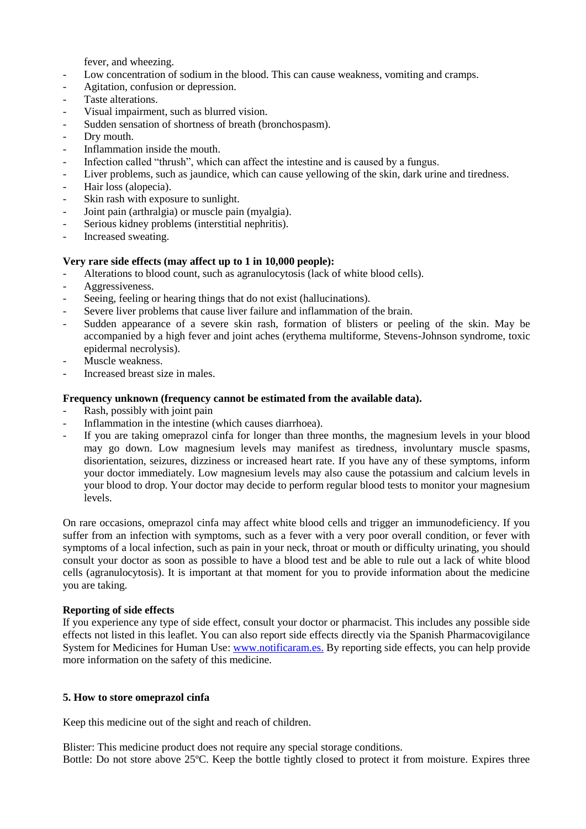fever, and wheezing.

- Low concentration of sodium in the blood. This can cause weakness, vomiting and cramps.
- Agitation, confusion or depression.
- Taste alterations.
- Visual impairment, such as blurred vision.
- Sudden sensation of shortness of breath (bronchospasm).
- Dry mouth.
- Inflammation inside the mouth.
- Infection called "thrush", which can affect the intestine and is caused by a fungus.
- Liver problems, such as jaundice, which can cause yellowing of the skin, dark urine and tiredness.
- Hair loss (alopecia).
- Skin rash with exposure to sunlight.
- Joint pain (arthralgia) or muscle pain (myalgia).
- Serious kidney problems (interstitial nephritis).
- Increased sweating.

### **Very rare side effects (may affect up to 1 in 10,000 people):**

- Alterations to blood count, such as agranulocytosis (lack of white blood cells).
- Aggressiveness.
- Seeing, feeling or hearing things that do not exist (hallucinations).
- Severe liver problems that cause liver failure and inflammation of the brain.
- Sudden appearance of a severe skin rash, formation of blisters or peeling of the skin. May be accompanied by a high fever and joint aches (erythema multiforme, Stevens-Johnson syndrome, toxic epidermal necrolysis).
- Muscle weakness.
- Increased breast size in males.

### **Frequency unknown (frequency cannot be estimated from the available data).**

- Rash, possibly with joint pain
- Inflammation in the intestine (which causes diarrhoea).
- If you are taking omeprazol cinfa for longer than three months, the magnesium levels in your blood may go down. Low magnesium levels may manifest as tiredness, involuntary muscle spasms, disorientation, seizures, dizziness or increased heart rate. If you have any of these symptoms, inform your doctor immediately. Low magnesium levels may also cause the potassium and calcium levels in your blood to drop. Your doctor may decide to perform regular blood tests to monitor your magnesium levels.

On rare occasions, omeprazol cinfa may affect white blood cells and trigger an immunodeficiency. If you suffer from an infection with symptoms, such as a fever with a very poor overall condition, or fever with symptoms of a local infection, such as pain in your neck, throat or mouth or difficulty urinating, you should consult your doctor as soon as possible to have a blood test and be able to rule out a lack of white blood cells (agranulocytosis). It is important at that moment for you to provide information about the medicine you are taking.

### **Reporting of side effects**

If you experience any type of side effect, consult your doctor or pharmacist. This includes any possible side effects not listed in this leaflet. You can also report side effects directly via the Spanish Pharmacovigilance System for Medicines for Human Use: [www.notificaram.es.](http://www.notificaram.es/) By reporting side effects, you can help provide more information on the safety of this medicine.

### **5. How to store omeprazol cinfa**

Keep this medicine out of the sight and reach of children.

Blister: This medicine product does not require any special storage conditions. Bottle: Do not store above 25<sup>o</sup>C. Keep the bottle tightly closed to protect it from moisture. Expires three